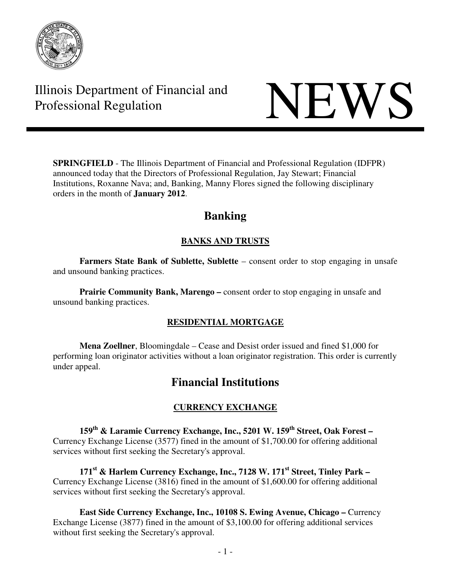

# Illinois Department of Financial and Illinois Department of Financial and<br>Professional Regulation



**SPRINGFIELD** - The Illinois Department of Financial and Professional Regulation (IDFPR) announced today that the Directors of Professional Regulation, Jay Stewart; Financial Institutions, Roxanne Nava; and, Banking, Manny Flores signed the following disciplinary orders in the month of **January 2012**.

## **Banking**

## **BANKS AND TRUSTS**

**Farmers State Bank of Sublette, Sublette** – consent order to stop engaging in unsafe and unsound banking practices.

**Prairie Community Bank, Marengo** – consent order to stop engaging in unsafe and unsound banking practices.

### **RESIDENTIAL MORTGAGE**

**Mena Zoellner**, Bloomingdale – Cease and Desist order issued and fined \$1,000 for performing loan originator activities without a loan originator registration. This order is currently under appeal.

## **Financial Institutions**

### **CURRENCY EXCHANGE**

**159th & Laramie Currency Exchange, Inc., 5201 W. 159th Street, Oak Forest –**  Currency Exchange License (3577) fined in the amount of \$1,700.00 for offering additional services without first seeking the Secretary's approval.

**171st & Harlem Currency Exchange, Inc., 7128 W. 171st Street, Tinley Park –**  Currency Exchange License (3816) fined in the amount of \$1,600.00 for offering additional services without first seeking the Secretary's approval.

**East Side Currency Exchange, Inc., 10108 S. Ewing Avenue, Chicago –** Currency Exchange License (3877) fined in the amount of \$3,100.00 for offering additional services without first seeking the Secretary's approval.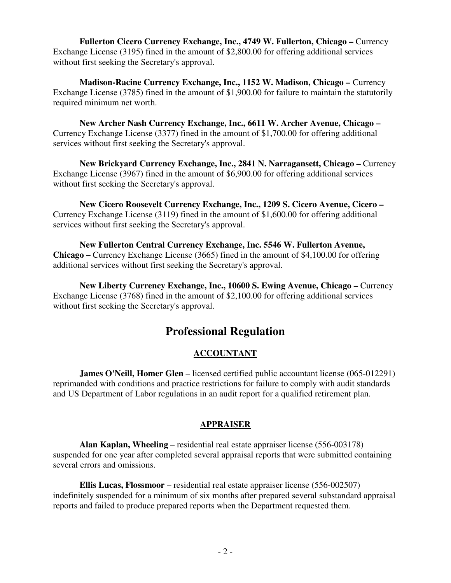**Fullerton Cicero Currency Exchange, Inc., 4749 W. Fullerton, Chicago – Currency** Exchange License (3195) fined in the amount of \$2,800.00 for offering additional services without first seeking the Secretary's approval.

**Madison-Racine Currency Exchange, Inc., 1152 W. Madison, Chicago –** Currency Exchange License (3785) fined in the amount of \$1,900.00 for failure to maintain the statutorily required minimum net worth.

**New Archer Nash Currency Exchange, Inc., 6611 W. Archer Avenue, Chicago –**  Currency Exchange License (3377) fined in the amount of \$1,700.00 for offering additional services without first seeking the Secretary's approval.

**New Brickyard Currency Exchange, Inc., 2841 N. Narragansett, Chicago – Currency** Exchange License (3967) fined in the amount of \$6,900.00 for offering additional services without first seeking the Secretary's approval.

**New Cicero Roosevelt Currency Exchange, Inc., 1209 S. Cicero Avenue, Cicero –**  Currency Exchange License (3119) fined in the amount of \$1,600.00 for offering additional services without first seeking the Secretary's approval.

**New Fullerton Central Currency Exchange, Inc. 5546 W. Fullerton Avenue, Chicago –** Currency Exchange License (3665) fined in the amount of \$4,100.00 for offering additional services without first seeking the Secretary's approval.

**New Liberty Currency Exchange, Inc., 10600 S. Ewing Avenue, Chicago –** Currency Exchange License (3768) fined in the amount of \$2,100.00 for offering additional services without first seeking the Secretary's approval.

## **Professional Regulation**

### **ACCOUNTANT**

**James O'Neill, Homer Glen** – licensed certified public accountant license (065-012291) reprimanded with conditions and practice restrictions for failure to comply with audit standards and US Department of Labor regulations in an audit report for a qualified retirement plan.

#### **APPRAISER**

 **Alan Kaplan, Wheeling** – residential real estate appraiser license (556-003178) suspended for one year after completed several appraisal reports that were submitted containing several errors and omissions.

 **Ellis Lucas, Flossmoor** – residential real estate appraiser license (556-002507) indefinitely suspended for a minimum of six months after prepared several substandard appraisal reports and failed to produce prepared reports when the Department requested them.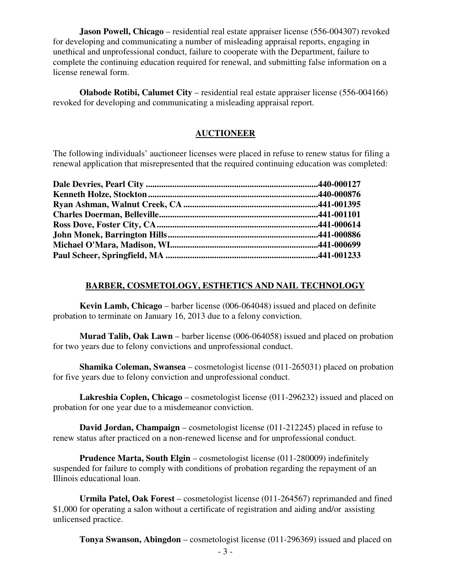**Jason Powell, Chicago** – residential real estate appraiser license (556-004307) revoked for developing and communicating a number of misleading appraisal reports, engaging in unethical and unprofessional conduct, failure to cooperate with the Department, failure to complete the continuing education required for renewal, and submitting false information on a license renewal form.

 **Olabode Rotibi, Calumet City** – residential real estate appraiser license (556-004166) revoked for developing and communicating a misleading appraisal report.

#### **AUCTIONEER**

The following individuals' auctioneer licenses were placed in refuse to renew status for filing a renewal application that misrepresented that the required continuing education was completed:

#### **BARBER, COSMETOLOGY, ESTHETICS AND NAIL TECHNOLOGY**

 **Kevin Lamb, Chicago** – barber license (006-064048) issued and placed on definite probation to terminate on January 16, 2013 due to a felony conviction.

 **Murad Talib, Oak Lawn** – barber license (006-064058) issued and placed on probation for two years due to felony convictions and unprofessional conduct.

 **Shamika Coleman, Swansea** – cosmetologist license (011-265031) placed on probation for five years due to felony conviction and unprofessional conduct.

 **Lakreshia Coplen, Chicago** – cosmetologist license (011-296232) issued and placed on probation for one year due to a misdemeanor conviction.

 **David Jordan, Champaign** – cosmetologist license (011-212245) placed in refuse to renew status after practiced on a non-renewed license and for unprofessional conduct.

 **Prudence Marta, South Elgin** – cosmetologist license (011-280009) indefinitely suspended for failure to comply with conditions of probation regarding the repayment of an Illinois educational loan.

 **Urmila Patel, Oak Forest** – cosmetologist license (011-264567) reprimanded and fined \$1,000 for operating a salon without a certificate of registration and aiding and/or assisting unlicensed practice.

**Tonya Swanson, Abingdon** – cosmetologist license (011-296369) issued and placed on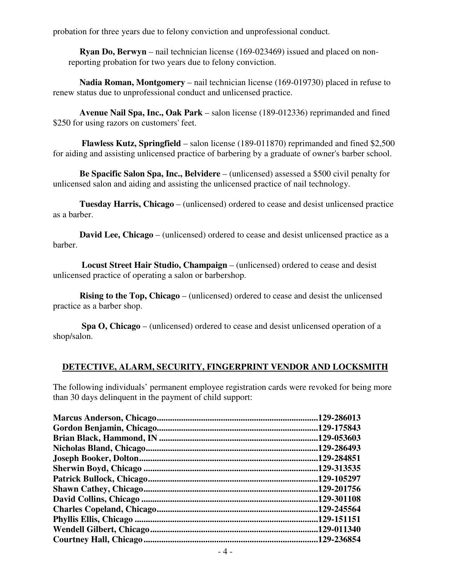probation for three years due to felony conviction and unprofessional conduct.

**Ryan Do, Berwyn** – nail technician license (169-023469) issued and placed on nonreporting probation for two years due to felony conviction.

 **Nadia Roman, Montgomery** – nail technician license (169-019730) placed in refuse to renew status due to unprofessional conduct and unlicensed practice.

 **Avenue Nail Spa, Inc., Oak Park** – salon license (189-012336) reprimanded and fined \$250 for using razors on customers' feet.

 **Flawless Kutz, Springfield** – salon license (189-011870) reprimanded and fined \$2,500 for aiding and assisting unlicensed practice of barbering by a graduate of owner's barber school.

 **Be Spacific Salon Spa, Inc., Belvidere** – (unlicensed) assessed a \$500 civil penalty for unlicensed salon and aiding and assisting the unlicensed practice of nail technology.

 **Tuesday Harris, Chicago** – (unlicensed) ordered to cease and desist unlicensed practice as a barber.

**David Lee, Chicago** – (unlicensed) ordered to cease and desist unlicensed practice as a barber.

 **Locust Street Hair Studio, Champaign** – (unlicensed) ordered to cease and desist unlicensed practice of operating a salon or barbershop.

**Rising to the Top, Chicago** – (unlicensed) ordered to cease and desist the unlicensed practice as a barber shop.

 **Spa O, Chicago** – (unlicensed) ordered to cease and desist unlicensed operation of a shop/salon.

#### **DETECTIVE, ALARM, SECURITY, FINGERPRINT VENDOR AND LOCKSMITH**

The following individuals' permanent employee registration cards were revoked for being more than 30 days delinquent in the payment of child support:

| 129-286013  |
|-------------|
| .129-175843 |
| .129-053603 |
| .129-286493 |
| .129-284851 |
| .129-313535 |
| .129-105297 |
| .129-201756 |
| .129-301108 |
| .129-245564 |
| .129-151151 |
| .129-011340 |
| .129-236854 |
|             |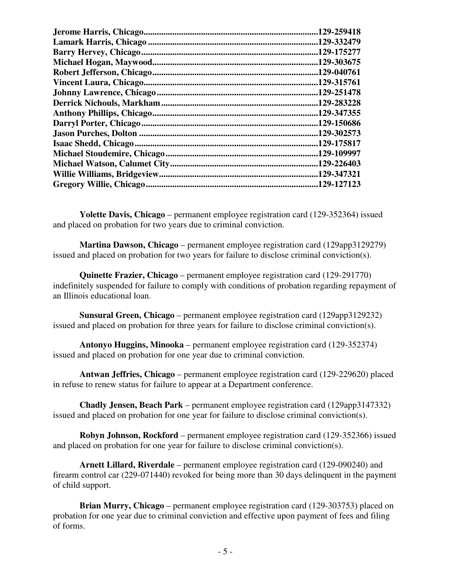| 129-259418  |
|-------------|
| .129-332479 |
| .129-175277 |
| .129-303675 |
| .129-040761 |
| .129-315761 |
| .129-251478 |
| 129-283228  |
| .129-347355 |
| .129-150686 |
| .129-302573 |
| .129-175817 |
| .129-109997 |
| .129-226403 |
| .129-347321 |
| .129-127123 |
|             |

 **Yolette Davis, Chicago** – permanent employee registration card (129-352364) issued and placed on probation for two years due to criminal conviction.

 **Martina Dawson, Chicago** – permanent employee registration card (129app3129279) issued and placed on probation for two years for failure to disclose criminal conviction(s).

 **Quinette Frazier, Chicago** – permanent employee registration card (129-291770) indefinitely suspended for failure to comply with conditions of probation regarding repayment of an Illinois educational loan.

 **Sunsural Green, Chicago** – permanent employee registration card (129app3129232) issued and placed on probation for three years for failure to disclose criminal conviction(s).

 **Antonyo Huggins, Minooka** – permanent employee registration card (129-352374) issued and placed on probation for one year due to criminal conviction.

 **Antwan Jeffries, Chicago** – permanent employee registration card (129-229620) placed in refuse to renew status for failure to appear at a Department conference.

 **Chadly Jensen, Beach Park** – permanent employee registration card (129app3147332) issued and placed on probation for one year for failure to disclose criminal conviction(s).

 **Robyn Johnson, Rockford** – permanent employee registration card (129-352366) issued and placed on probation for one year for failure to disclose criminal conviction(s).

 **Arnett Lillard, Riverdale** – permanent employee registration card (129-090240) and firearm control car (229-071440) revoked for being more than 30 days delinquent in the payment of child support.

 **Brian Murry, Chicago** – permanent employee registration card (129-303753) placed on probation for one year due to criminal conviction and effective upon payment of fees and filing of forms.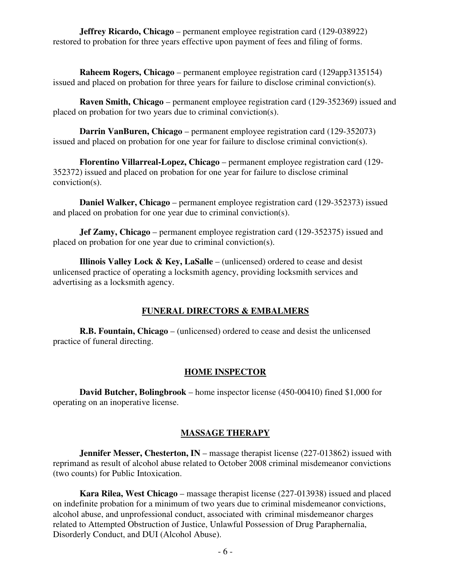**Jeffrey Ricardo, Chicago** – permanent employee registration card (129-038922) restored to probation for three years effective upon payment of fees and filing of forms.

 **Raheem Rogers, Chicago** – permanent employee registration card (129app3135154) issued and placed on probation for three years for failure to disclose criminal conviction(s).

 **Raven Smith, Chicago** – permanent employee registration card (129-352369) issued and placed on probation for two years due to criminal conviction(s).

 **Darrin VanBuren, Chicago** – permanent employee registration card (129-352073) issued and placed on probation for one year for failure to disclose criminal conviction(s).

 **Florentino Villarreal-Lopez, Chicago** – permanent employee registration card (129- 352372) issued and placed on probation for one year for failure to disclose criminal conviction(s).

 **Daniel Walker, Chicago** – permanent employee registration card (129-352373) issued and placed on probation for one year due to criminal conviction(s).

 **Jef Zamy, Chicago** – permanent employee registration card (129-352375) issued and placed on probation for one year due to criminal conviction(s).

 **Illinois Valley Lock & Key, LaSalle** – (unlicensed) ordered to cease and desist unlicensed practice of operating a locksmith agency, providing locksmith services and advertising as a locksmith agency.

#### **FUNERAL DIRECTORS & EMBALMERS**

 **R.B. Fountain, Chicago** – (unlicensed) ordered to cease and desist the unlicensed practice of funeral directing.

#### **HOME INSPECTOR**

 **David Butcher, Bolingbrook** – home inspector license (450-00410) fined \$1,000 for operating on an inoperative license.

#### **MASSAGE THERAPY**

**Jennifer Messer, Chesterton, IN** – massage therapist license (227-013862) issued with reprimand as result of alcohol abuse related to October 2008 criminal misdemeanor convictions (two counts) for Public Intoxication.

 **Kara Rilea, West Chicago** – massage therapist license (227-013938) issued and placed on indefinite probation for a minimum of two years due to criminal misdemeanor convictions, alcohol abuse, and unprofessional conduct, associated with criminal misdemeanor charges related to Attempted Obstruction of Justice, Unlawful Possession of Drug Paraphernalia, Disorderly Conduct, and DUI (Alcohol Abuse).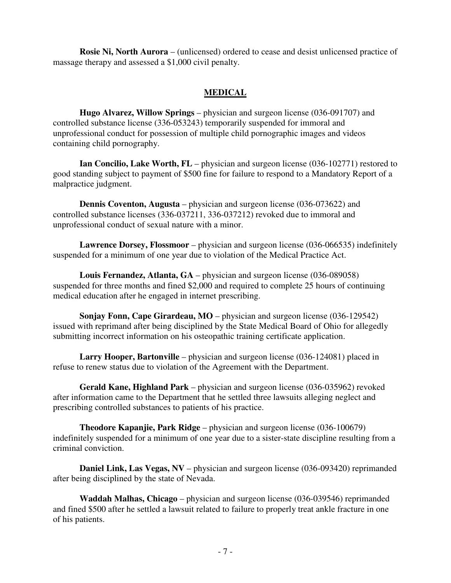**Rosie Ni, North Aurora** – (unlicensed) ordered to cease and desist unlicensed practice of massage therapy and assessed a \$1,000 civil penalty.

#### **MEDICAL**

 **Hugo Alvarez, Willow Springs** – physician and surgeon license (036-091707) and controlled substance license (336-053243) temporarily suspended for immoral and unprofessional conduct for possession of multiple child pornographic images and videos containing child pornography.

**Ian Concilio, Lake Worth, FL** – physician and surgeon license (036-102771) restored to good standing subject to payment of \$500 fine for failure to respond to a Mandatory Report of a malpractice judgment.

 **Dennis Coventon, Augusta** – physician and surgeon license (036-073622) and controlled substance licenses (336-037211, 336-037212) revoked due to immoral and unprofessional conduct of sexual nature with a minor.

 **Lawrence Dorsey, Flossmoor** – physician and surgeon license (036-066535) indefinitely suspended for a minimum of one year due to violation of the Medical Practice Act.

 **Louis Fernandez, Atlanta, GA** – physician and surgeon license (036-089058) suspended for three months and fined \$2,000 and required to complete 25 hours of continuing medical education after he engaged in internet prescribing.

**Sonjay Fonn, Cape Girardeau, MO** – physician and surgeon license (036-129542) issued with reprimand after being disciplined by the State Medical Board of Ohio for allegedly submitting incorrect information on his osteopathic training certificate application.

 **Larry Hooper, Bartonville** – physician and surgeon license (036-124081) placed in refuse to renew status due to violation of the Agreement with the Department.

 **Gerald Kane, Highland Park** – physician and surgeon license (036-035962) revoked after information came to the Department that he settled three lawsuits alleging neglect and prescribing controlled substances to patients of his practice.

 **Theodore Kapanjie, Park Ridge** – physician and surgeon license (036-100679) indefinitely suspended for a minimum of one year due to a sister-state discipline resulting from a criminal conviction.

**Daniel Link, Las Vegas, NV** – physician and surgeon license (036-093420) reprimanded after being disciplined by the state of Nevada.

 **Waddah Malhas, Chicago** – physician and surgeon license (036-039546) reprimanded and fined \$500 after he settled a lawsuit related to failure to properly treat ankle fracture in one of his patients.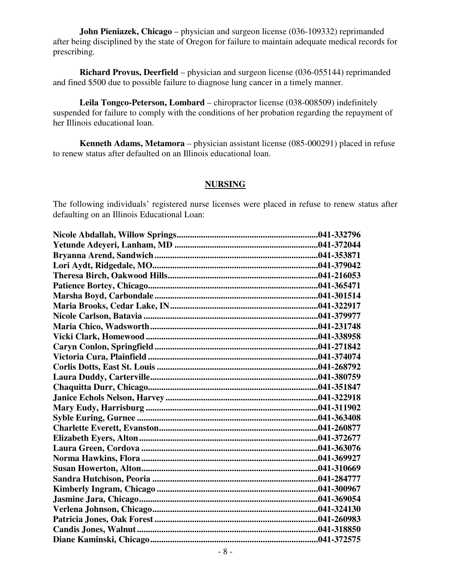**John Pieniazek, Chicago** – physician and surgeon license (036-109332) reprimanded after being disciplined by the state of Oregon for failure to maintain adequate medical records for prescribing.

 **Richard Provus, Deerfield** – physician and surgeon license (036-055144) reprimanded and fined \$500 due to possible failure to diagnose lung cancer in a timely manner.

 **Leila Tongco-Peterson, Lombard** – chiropractor license (038-008509) indefinitely suspended for failure to comply with the conditions of her probation regarding the repayment of her Illinois educational loan.

 **Kenneth Adams, Metamora** – physician assistant license (085-000291) placed in refuse to renew status after defaulted on an Illinois educational loan.

#### **NURSING**

The following individuals' registered nurse licenses were placed in refuse to renew status after defaulting on an Illinois Educational Loan: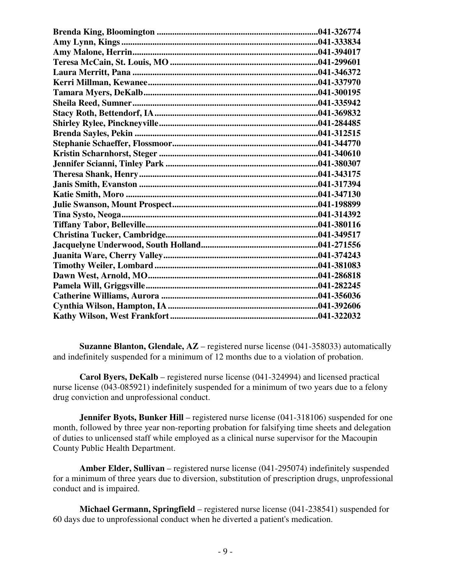**Suzanne Blanton, Glendale, AZ** – registered nurse license (041-358033) automatically and indefinitely suspended for a minimum of 12 months due to a violation of probation.

 **Carol Byers, DeKalb** – registered nurse license (041-324994) and licensed practical nurse license (043-085921) indefinitely suspended for a minimum of two years due to a felony drug conviction and unprofessional conduct.

**Jennifer Byots, Bunker Hill** – registered nurse license (041-318106) suspended for one month, followed by three year non-reporting probation for falsifying time sheets and delegation of duties to unlicensed staff while employed as a clinical nurse supervisor for the Macoupin County Public Health Department.

 **Amber Elder, Sullivan** – registered nurse license (041-295074) indefinitely suspended for a minimum of three years due to diversion, substitution of prescription drugs, unprofessional conduct and is impaired.

 **Michael Germann, Springfield** – registered nurse license (041-238541) suspended for 60 days due to unprofessional conduct when he diverted a patient's medication.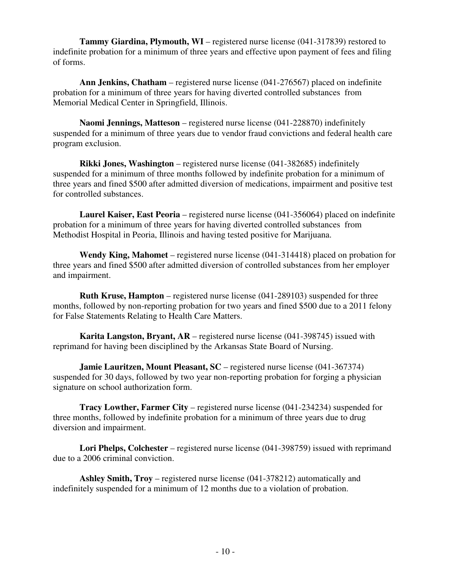**Tammy Giardina, Plymouth, WI** – registered nurse license (041-317839) restored to indefinite probation for a minimum of three years and effective upon payment of fees and filing of forms.

 **Ann Jenkins, Chatham** – registered nurse license (041-276567) placed on indefinite probation for a minimum of three years for having diverted controlled substances from Memorial Medical Center in Springfield, Illinois.

 **Naomi Jennings, Matteson** – registered nurse license (041-228870) indefinitely suspended for a minimum of three years due to vendor fraud convictions and federal health care program exclusion.

 **Rikki Jones, Washington** – registered nurse license (041-382685) indefinitely suspended for a minimum of three months followed by indefinite probation for a minimum of three years and fined \$500 after admitted diversion of medications, impairment and positive test for controlled substances.

 **Laurel Kaiser, East Peoria** – registered nurse license (041-356064) placed on indefinite probation for a minimum of three years for having diverted controlled substances from Methodist Hospital in Peoria, Illinois and having tested positive for Marijuana.

 **Wendy King, Mahomet** – registered nurse license (041-314418) placed on probation for three years and fined \$500 after admitted diversion of controlled substances from her employer and impairment.

 **Ruth Kruse, Hampton** – registered nurse license (041-289103) suspended for three months, followed by non-reporting probation for two years and fined \$500 due to a 2011 felony for False Statements Relating to Health Care Matters.

 **Karita Langston, Bryant, AR** – registered nurse license (041-398745) issued with reprimand for having been disciplined by the Arkansas State Board of Nursing.

**Jamie Lauritzen, Mount Pleasant, SC** – registered nurse license (041-367374) suspended for 30 days, followed by two year non-reporting probation for forging a physician signature on school authorization form.

 **Tracy Lowther, Farmer City** – registered nurse license (041-234234) suspended for three months, followed by indefinite probation for a minimum of three years due to drug diversion and impairment.

 **Lori Phelps, Colchester** – registered nurse license (041-398759) issued with reprimand due to a 2006 criminal conviction.

 **Ashley Smith, Troy** – registered nurse license (041-378212) automatically and indefinitely suspended for a minimum of 12 months due to a violation of probation.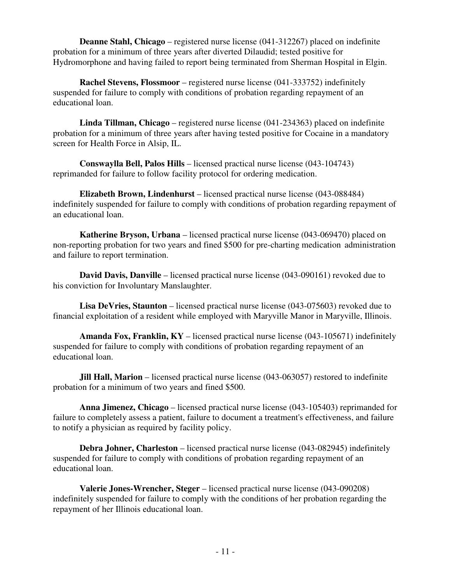**Deanne Stahl, Chicago** – registered nurse license (041-312267) placed on indefinite probation for a minimum of three years after diverted Dilaudid; tested positive for Hydromorphone and having failed to report being terminated from Sherman Hospital in Elgin.

 **Rachel Stevens, Flossmoor** – registered nurse license (041-333752) indefinitely suspended for failure to comply with conditions of probation regarding repayment of an educational loan.

 **Linda Tillman, Chicago** – registered nurse license (041-234363) placed on indefinite probation for a minimum of three years after having tested positive for Cocaine in a mandatory screen for Health Force in Alsip, IL.

 **Conswaylla Bell, Palos Hills** – licensed practical nurse license (043-104743) reprimanded for failure to follow facility protocol for ordering medication.

 **Elizabeth Brown, Lindenhurst** – licensed practical nurse license (043-088484) indefinitely suspended for failure to comply with conditions of probation regarding repayment of an educational loan.

 **Katherine Bryson, Urbana** – licensed practical nurse license (043-069470) placed on non-reporting probation for two years and fined \$500 for pre-charting medication administration and failure to report termination.

 **David Davis, Danville** – licensed practical nurse license (043-090161) revoked due to his conviction for Involuntary Manslaughter.

**Lisa DeVries, Staunton** – licensed practical nurse license (043-075603) revoked due to financial exploitation of a resident while employed with Maryville Manor in Maryville, Illinois.

 **Amanda Fox, Franklin, KY** – licensed practical nurse license (043-105671) indefinitely suspended for failure to comply with conditions of probation regarding repayment of an educational loan.

 **Jill Hall, Marion** – licensed practical nurse license (043-063057) restored to indefinite probation for a minimum of two years and fined \$500.

 **Anna Jimenez, Chicago** – licensed practical nurse license (043-105403) reprimanded for failure to completely assess a patient, failure to document a treatment's effectiveness, and failure to notify a physician as required by facility policy.

**Debra Johner, Charleston** – licensed practical nurse license (043-082945) indefinitely suspended for failure to comply with conditions of probation regarding repayment of an educational loan.

 **Valerie Jones-Wrencher, Steger** – licensed practical nurse license (043-090208) indefinitely suspended for failure to comply with the conditions of her probation regarding the repayment of her Illinois educational loan.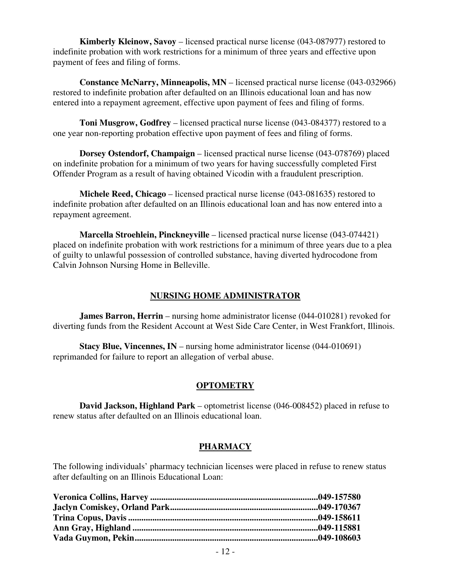**Kimberly Kleinow, Savoy** – licensed practical nurse license (043-087977) restored to indefinite probation with work restrictions for a minimum of three years and effective upon payment of fees and filing of forms.

 **Constance McNarry, Minneapolis, MN** – licensed practical nurse license (043-032966) restored to indefinite probation after defaulted on an Illinois educational loan and has now entered into a repayment agreement, effective upon payment of fees and filing of forms.

 **Toni Musgrow, Godfrey** – licensed practical nurse license (043-084377) restored to a one year non-reporting probation effective upon payment of fees and filing of forms.

 **Dorsey Ostendorf, Champaign** – licensed practical nurse license (043-078769) placed on indefinite probation for a minimum of two years for having successfully completed First Offender Program as a result of having obtained Vicodin with a fraudulent prescription.

 **Michele Reed, Chicago** – licensed practical nurse license (043-081635) restored to indefinite probation after defaulted on an Illinois educational loan and has now entered into a repayment agreement.

 **Marcella Stroehlein, Pinckneyville** – licensed practical nurse license (043-074421) placed on indefinite probation with work restrictions for a minimum of three years due to a plea of guilty to unlawful possession of controlled substance, having diverted hydrocodone from Calvin Johnson Nursing Home in Belleville.

#### **NURSING HOME ADMINISTRATOR**

**James Barron, Herrin** – nursing home administrator license (044-010281) revoked for diverting funds from the Resident Account at West Side Care Center, in West Frankfort, Illinois.

**Stacy Blue, Vincennes, IN** – nursing home administrator license (044-010691) reprimanded for failure to report an allegation of verbal abuse.

#### **OPTOMETRY**

 **David Jackson, Highland Park** – optometrist license (046-008452) placed in refuse to renew status after defaulted on an Illinois educational loan.

#### **PHARMACY**

The following individuals' pharmacy technician licenses were placed in refuse to renew status after defaulting on an Illinois Educational Loan: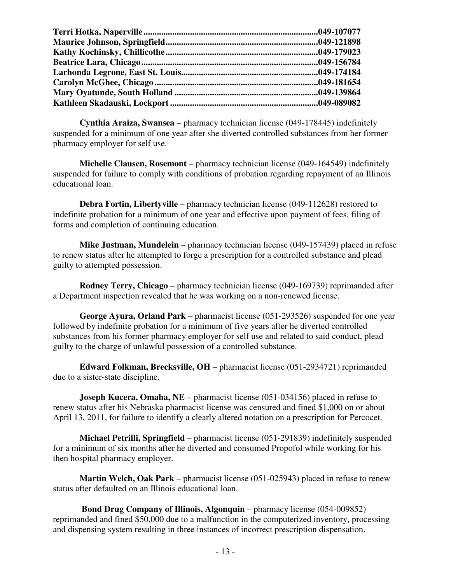**Cynthia Araiza, Swansea** – pharmacy technician license (049-178445) indefinitely suspended for a minimum of one year after she diverted controlled substances from her former pharmacy employer for self use.

 **Michelle Clausen, Rosemont** – pharmacy technician license (049-164549) indefinitely suspended for failure to comply with conditions of probation regarding repayment of an Illinois educational loan.

 **Debra Fortin, Libertyville** – pharmacy technician license (049-112628) restored to indefinite probation for a minimum of one year and effective upon payment of fees, filing of forms and completion of continuing education.

 **Mike Justman, Mundelein** – pharmacy technician license (049-157439) placed in refuse to renew status after he attempted to forge a prescription for a controlled substance and plead guilty to attempted possession.

 **Rodney Terry, Chicago** – pharmacy technician license (049-169739) reprimanded after a Department inspection revealed that he was working on a non-renewed license.

 **George Ayura, Orland Park** – pharmacist license (051-293526) suspended for one year followed by indefinite probation for a minimum of five years after he diverted controlled substances from his former pharmacy employer for self use and related to said conduct, plead guilty to the charge of unlawful possession of a controlled substance.

 **Edward Folkman, Brecksville, OH** – pharmacist license (051-2934721) reprimanded due to a sister-state discipline.

**Joseph Kucera, Omaha, NE** – pharmacist license (051-034156) placed in refuse to renew status after his Nebraska pharmacist license was censured and fined \$1,000 on or about April 13, 2011, for failure to identify a clearly altered notation on a prescription for Percocet.

 **Michael Petrilli, Springfield** – pharmacist license (051-291839) indefinitely suspended for a minimum of six months after he diverted and consumed Propofol while working for his then hospital pharmacy employer.

 **Martin Welch, Oak Park** – pharmacist license (051-025943) placed in refuse to renew status after defaulted on an Illinois educational loan.

 **Bond Drug Company of Illinois, Algonquin** – pharmacy license (054-009852) reprimanded and fined \$50,000 due to a malfunction in the computerized inventory, processing and dispensing system resulting in three instances of incorrect prescription dispensation.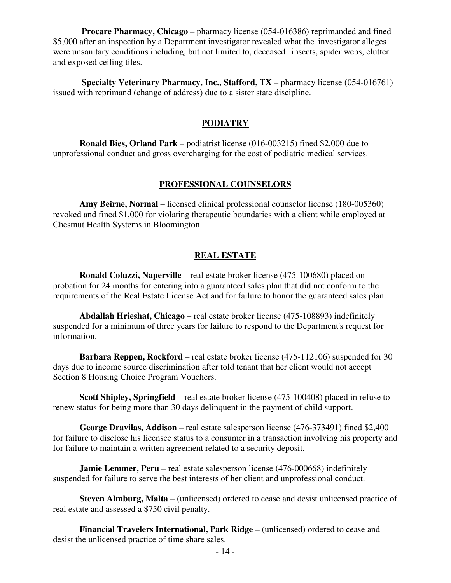**Procare Pharmacy, Chicago** – pharmacy license (054-016386) reprimanded and fined \$5,000 after an inspection by a Department investigator revealed what the investigator alleges were unsanitary conditions including, but not limited to, deceased insects, spider webs, clutter and exposed ceiling tiles.

 **Specialty Veterinary Pharmacy, Inc., Stafford, TX** – pharmacy license (054-016761) issued with reprimand (change of address) due to a sister state discipline.

#### **PODIATRY**

 **Ronald Bies, Orland Park** – podiatrist license (016-003215) fined \$2,000 due to unprofessional conduct and gross overcharging for the cost of podiatric medical services.

#### **PROFESSIONAL COUNSELORS**

 **Amy Beirne, Normal** – licensed clinical professional counselor license (180-005360) revoked and fined \$1,000 for violating therapeutic boundaries with a client while employed at Chestnut Health Systems in Bloomington.

#### **REAL ESTATE**

**Ronald Coluzzi, Naperville** – real estate broker license (475-100680) placed on probation for 24 months for entering into a guaranteed sales plan that did not conform to the requirements of the Real Estate License Act and for failure to honor the guaranteed sales plan.

 **Abdallah Hrieshat, Chicago** – real estate broker license (475-108893) indefinitely suspended for a minimum of three years for failure to respond to the Department's request for information.

 **Barbara Reppen, Rockford** – real estate broker license (475-112106) suspended for 30 days due to income source discrimination after told tenant that her client would not accept Section 8 Housing Choice Program Vouchers.

 **Scott Shipley, Springfield** – real estate broker license (475-100408) placed in refuse to renew status for being more than 30 days delinquent in the payment of child support.

 **George Dravilas, Addison** – real estate salesperson license (476-373491) fined \$2,400 for failure to disclose his licensee status to a consumer in a transaction involving his property and for failure to maintain a written agreement related to a security deposit.

**Jamie Lemmer, Peru** – real estate salesperson license (476-000668) indefinitely suspended for failure to serve the best interests of her client and unprofessional conduct.

 **Steven Almburg, Malta** – (unlicensed) ordered to cease and desist unlicensed practice of real estate and assessed a \$750 civil penalty.

 **Financial Travelers International, Park Ridge** – (unlicensed) ordered to cease and desist the unlicensed practice of time share sales.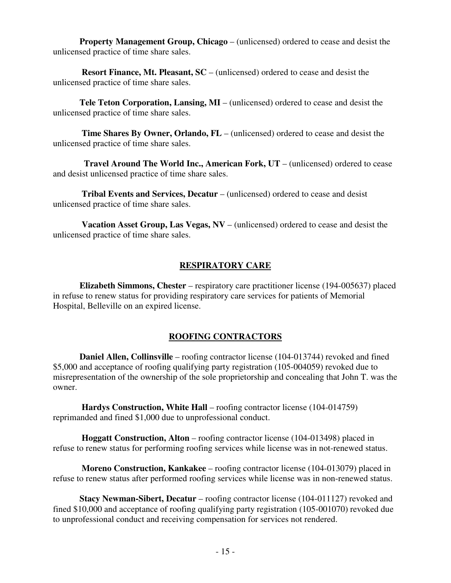**Property Management Group, Chicago** – (unlicensed) ordered to cease and desist the unlicensed practice of time share sales.

 **Resort Finance, Mt. Pleasant, SC** – (unlicensed) ordered to cease and desist the unlicensed practice of time share sales.

 **Tele Teton Corporation, Lansing, MI** – (unlicensed) ordered to cease and desist the unlicensed practice of time share sales.

**Time Shares By Owner, Orlando, FL** – (unlicensed) ordered to cease and desist the unlicensed practice of time share sales.

 **Travel Around The World Inc., American Fork, UT** – (unlicensed) ordered to cease and desist unlicensed practice of time share sales.

 **Tribal Events and Services, Decatur** – (unlicensed) ordered to cease and desist unlicensed practice of time share sales.

 **Vacation Asset Group, Las Vegas, NV** – (unlicensed) ordered to cease and desist the unlicensed practice of time share sales.

#### **RESPIRATORY CARE**

 **Elizabeth Simmons, Chester** – respiratory care practitioner license (194-005637) placed in refuse to renew status for providing respiratory care services for patients of Memorial Hospital, Belleville on an expired license.

#### **ROOFING CONTRACTORS**

 **Daniel Allen, Collinsville** – roofing contractor license (104-013744) revoked and fined \$5,000 and acceptance of roofing qualifying party registration (105-004059) revoked due to misrepresentation of the ownership of the sole proprietorship and concealing that John T. was the owner.

 **Hardys Construction, White Hall** – roofing contractor license (104-014759) reprimanded and fined \$1,000 due to unprofessional conduct.

 **Hoggatt Construction, Alton** – roofing contractor license (104-013498) placed in refuse to renew status for performing roofing services while license was in not-renewed status.

 **Moreno Construction, Kankakee** – roofing contractor license (104-013079) placed in refuse to renew status after performed roofing services while license was in non-renewed status.

 **Stacy Newman-Sibert, Decatur** – roofing contractor license (104-011127) revoked and fined \$10,000 and acceptance of roofing qualifying party registration (105-001070) revoked due to unprofessional conduct and receiving compensation for services not rendered.